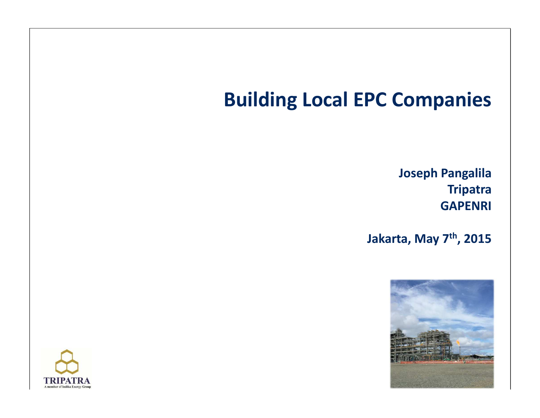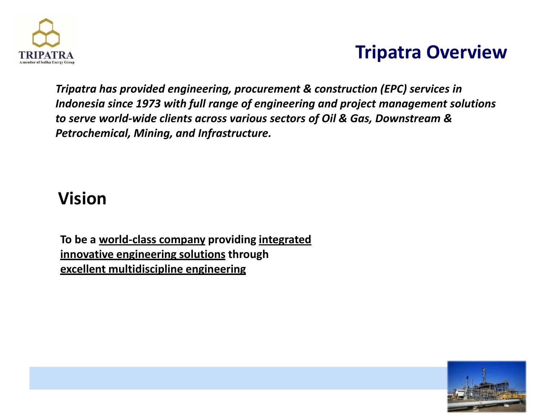

# **Tripatra Overview**

*Tripatra has provided engineering, procurement & construction (EPC) services in Indonesia since 1973 with full range of engineering and project management solutions to serve world-wide clients across various sectors of Oil & Gas, Downstream & Petrochemical, Mining, and Infrastructure.*

## **Vision**

**To be a world-class company providing integrated innovative engineering solutions through excellent multidiscipline engineering**

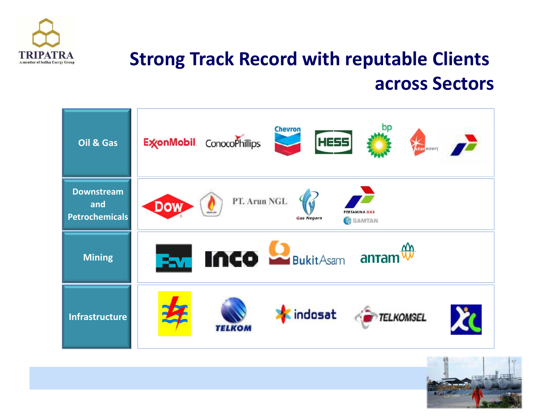

# **Strong Track Record with reputable Clients across Sectors**



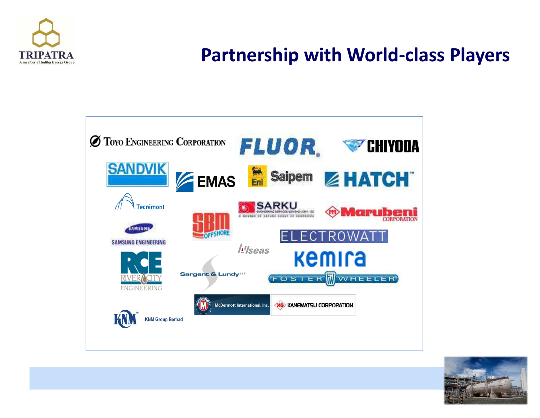

# **Partnership with World-class Players**



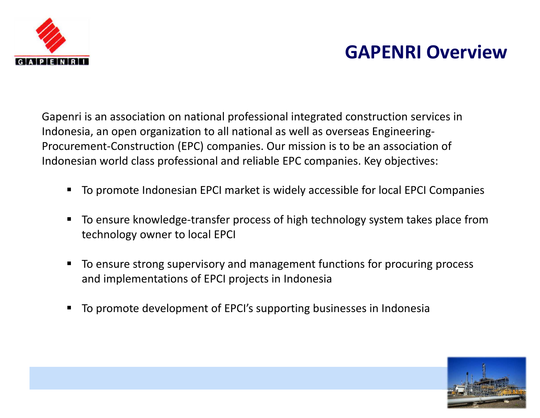

# **GAPENRI Overview**

Gapenri is an association on national professional integrated construction services in Indonesia, an open organization to all national as well as overseas Engineering-Procurement-Construction (EPC) companies. Our mission is to be an association of Indonesian world class professional and reliable EPC companies. Key objectives:

- To promote Indonesian EPCI market is widely accessible for local EPCI Companies
- $\blacksquare$  To ensure knowledge-transfer process of high technology system takes place from technology owner to local EPCI
- $\blacksquare$  To ensure strong supervisory and management functions for procuring process and implementations of EPCI projects in Indonesia
- $\blacksquare$ To promote development of EPCI's supporting businesses in Indonesia

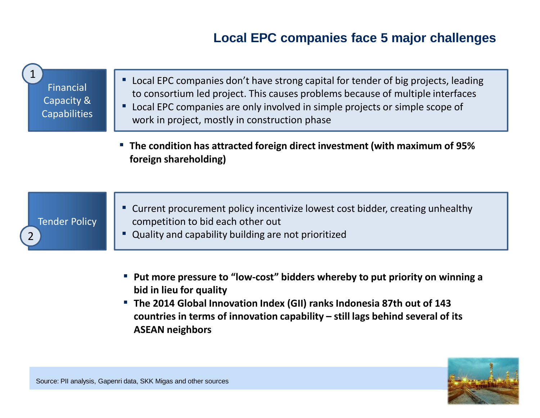### **Local EPC companies face 5 major challenges**

| Financial<br>Capacity &<br><b>Capabilities</b> | " Local EPC companies don't have strong capital for tender of big projects, leading<br>to consortium led project. This causes problems because of multiple interfaces<br>Local EPC companies are only involved in simple projects or simple scope of<br>work in project, mostly in construction phase |  |
|------------------------------------------------|-------------------------------------------------------------------------------------------------------------------------------------------------------------------------------------------------------------------------------------------------------------------------------------------------------|--|
|                                                | <b>• The condition has attracted foreign direct investment (with maximum of 95%</b><br>foreign shareholding)                                                                                                                                                                                          |  |
| <b>Tender Policy</b>                           | " Current procurement policy incentivize lowest cost bidder, creating unhealthy<br>competition to bid each other out<br>Quality and capability building are not prioritized                                                                                                                           |  |

- **Put more pressure to "low-cost" bidders whereby to put priority on winning a bid in lieu for quality**
- **The 2014 Global Innovation Index (GII) ranks Indonesia 87th out of 143 countries in terms of innovation capability – still lags behind several of its ASEAN neighbors**

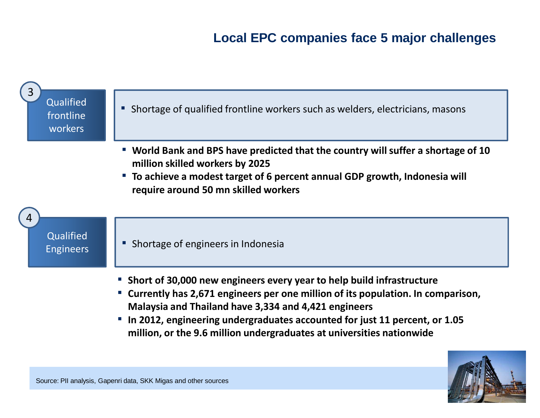### **Local EPC companies face 5 major challenges**



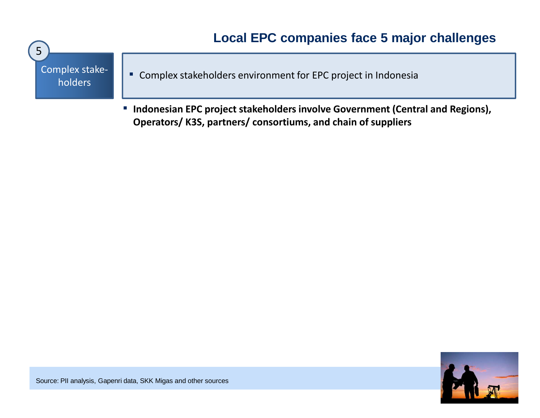

▪ **Indonesian EPC project stakeholders involve Government (Central and Regions), Operators/ K3S, partners/ consortiums, and chain of suppliers**



Source: PII analysis, Gapenri data, SKK Migas and other sources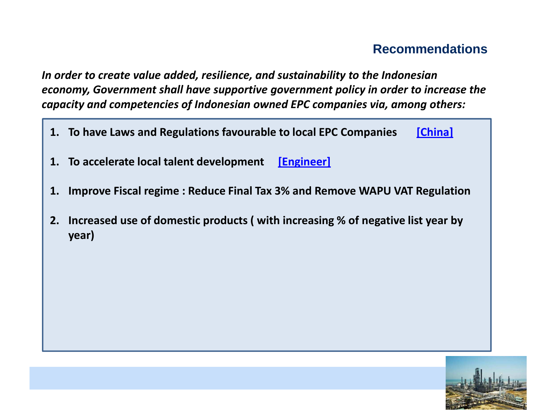### **Recommendations**

*In order to create value added, resilience, and sustainability to the Indonesian economy, Government shall have supportive government policy in order to increase the capacity and competencies of Indonesian owned EPC companies via, among others:*

- **1. To have Laws and Regulations favourable to local EPC Companies [China]**
- **1. To accelerate local talent development [Engineer]**
- **1. Improve Fiscal regime : Reduce Final Tax 3% and Remove WAPU VAT Regulation**
- **2. Increased use of domestic products ( with increasing % of negative list year by year)**

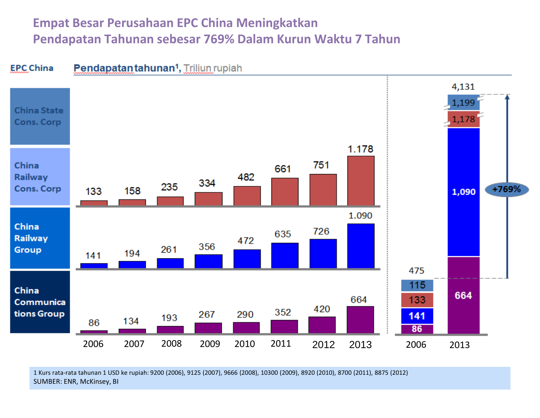## **Empat Besar Perusahaan EPC China MeningkatkanPendapatan Tahunan sebesar 769% Dalam Kurun Waktu 7 Tahun**



SUMBER: ENR, McKinsey, BI1 Kurs rata-rata tahunan 1 USD ke rupiah: 9200 (2006), 9125 (2007), 9666 (2008), 10300 (2009), 8920 (2010), 8700 (2011), 8875 (2012)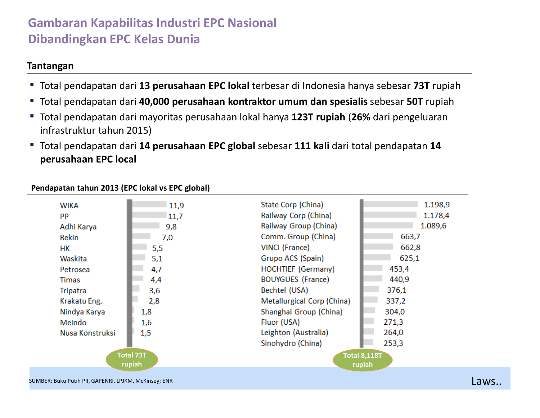### **Gambaran Kapabilitas Industri EPC Nasional Dibandingkan EPC Kelas Dunia**

#### **Tantangan**

- Total pendapatan dari **13 perusahaan EPC lokal** terbesar di Indonesia hanya sebesar **73T** rupiah
- Total pendapatan dari **40,000 perusahaan kontraktor umum dan spesialis** sebesar **50T** rupiah
- Total pendapatan dari mayoritas perusahaan lokal hanya **123T rupiah** (**26%** dari pengeluaran infrastruktur tahun 2015)
- ▪ Total pendapatan dari **14 perusahaan EPC global** sebesar **111 kali** dari total pendapatan **<sup>14</sup> perusahaan EPC local**

#### **Pendapatan tahun 2013 (EPC lokal vs EPC global)**

| <b>WIKA</b>                | 11,9 | State Corp (China)            | 1.198,9 |  |
|----------------------------|------|-------------------------------|---------|--|
| <b>PP</b>                  | 11,7 | Railway Corp (China)          | 1.178,4 |  |
| Adhi Karya                 | 9,8  | Railway Group (China)         | 1.089,6 |  |
| Rekin                      | 7,0  | Comm. Group (China)           | 663,7   |  |
| HК                         | 5,5  | VINCI (France)                | 662,8   |  |
| Waskita                    | 5,1  | Grupo ACS (Spain)             | 625,1   |  |
| Petrosea                   | 4,7  | <b>HOCHTIEF (Germany)</b>     | 453,4   |  |
| <b>Timas</b>               | 4,4  | <b>BOUYGUES (France)</b>      | 440,9   |  |
| Tripatra                   | 3,6  | Bechtel (USA)                 | 376,1   |  |
| Krakatu Eng.               | 2,8  | Metallurgical Corp (China)    | 337,2   |  |
| Nindya Karya               | 1,8  | Shanghai Group (China)        | 304,0   |  |
| Meindo                     | 1,6  | Fluor (USA)                   | 271,3   |  |
| Nusa Konstruksi            | 1,5  | Leighton (Australia)          | 264,0   |  |
|                            |      | Sinohydro (China)             | 253,3   |  |
| <b>Total 73T</b><br>rupiah |      | <b>Total 8,118T</b><br>rupiah |         |  |

SUMBER: Buku Putih PII, GAPENRI, LPJKM, McKinsey; ENR